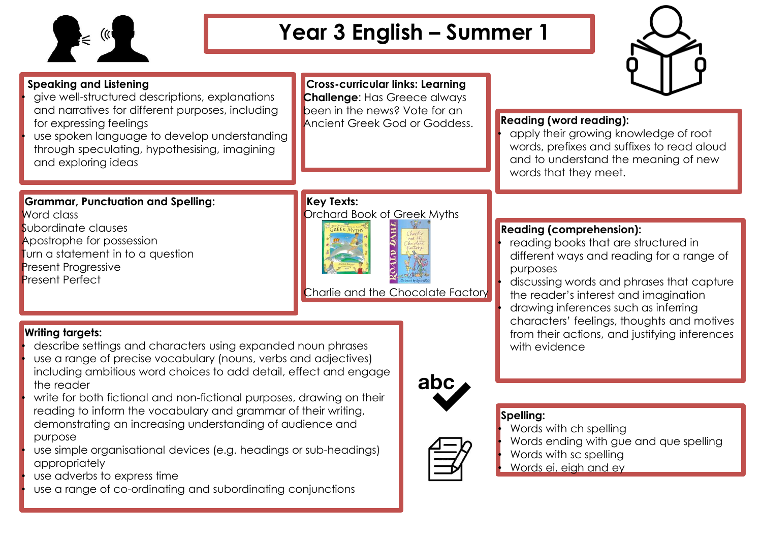

**Speaking and Listening**

# **Year 3 English – Summer 1**



| <b>Speaking and Lisiening</b>                                            |
|--------------------------------------------------------------------------|
| give well-structured descriptions, explanations                          |
| and narratives for different purposes, including                         |
| for expressing feelings                                                  |
| بممثله وبملوء واممرت ومملوب بملم والمتعط ويعتقب بتمويم المتمرام وتقاميهم |

use spoken language to develop understanding through speculating, hypothesising, imagining and exploring ideas

**Cross-curricular links: Learning Challenge**: Has Greece always been in the news? Vote for an Ancient Greek God or Goddess. **Reading (word reading):**

**Reading (comprehension):**

purposes

with evidence

• apply their growing knowledge of root words, prefixes and suffixes to read aloud and to understand the meaning of new words that they meet.

• reading books that are structured in

the reader's interest and imagination • drawing inferences such as inferring

different ways and reading for a range of

• discussing words and phrases that capture

characters' feelings, thoughts and motives from their actions, and justifying inferences

#### **Grammar, Punctuation and Spelling:** Word class

Subordinate clauses Apostrophe for possession Turn a statement in to a question Present Progressive Present Perfect

## **Key Texts:**



Charlie and the Chocolate Factory

## **Writing targets:**

- describe settings and characters using expanded noun phrases
- use a range of precise vocabulary (nouns, verbs and adjectives) including ambitious word choices to add detail, effect and engage the reader
- write for both fictional and non-fictional purposes, drawing on their reading to inform the vocabulary and grammar of their writing, demonstrating an increasing understanding of audience and purpose
- use simple organisational devices (e.g. headings or sub-headings) appropriately
- use adverbs to express time
- use a range of co-ordinating and subordinating conjunctions



## **Spelling:**

- Words with ch spelling
- Words ending with gue and que spelling
- Words with sc spelling
- Words ei, eigh and ey